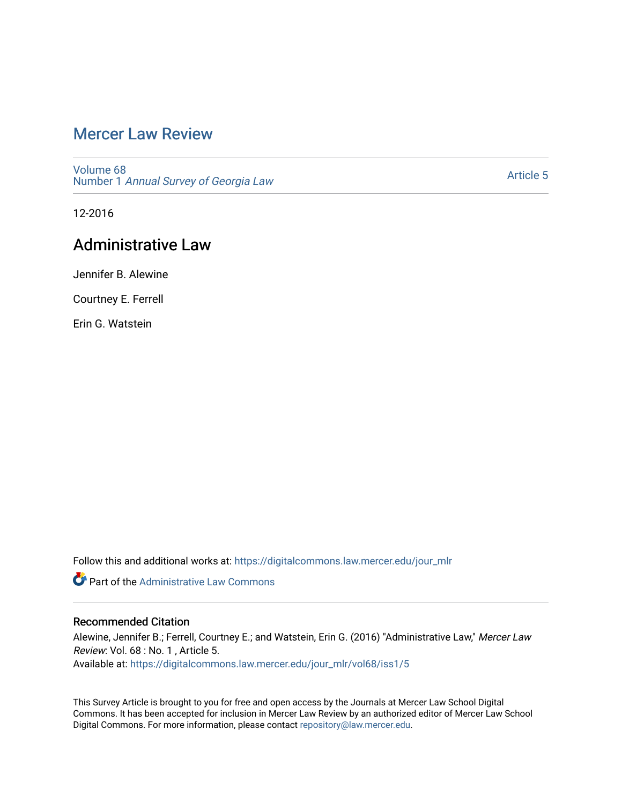# [Mercer Law Review](https://digitalcommons.law.mercer.edu/jour_mlr)

[Volume 68](https://digitalcommons.law.mercer.edu/jour_mlr/vol68) Number 1 [Annual Survey of Georgia Law](https://digitalcommons.law.mercer.edu/jour_mlr/vol68/iss1) 

[Article 5](https://digitalcommons.law.mercer.edu/jour_mlr/vol68/iss1/5) 

12-2016

# Administrative Law

Jennifer B. Alewine

Courtney E. Ferrell

Erin G. Watstein

Follow this and additional works at: [https://digitalcommons.law.mercer.edu/jour\\_mlr](https://digitalcommons.law.mercer.edu/jour_mlr?utm_source=digitalcommons.law.mercer.edu%2Fjour_mlr%2Fvol68%2Fiss1%2F5&utm_medium=PDF&utm_campaign=PDFCoverPages)

**Part of the Administrative Law Commons** 

## Recommended Citation

Alewine, Jennifer B.; Ferrell, Courtney E.; and Watstein, Erin G. (2016) "Administrative Law," Mercer Law Review: Vol. 68 : No. 1 , Article 5. Available at: [https://digitalcommons.law.mercer.edu/jour\\_mlr/vol68/iss1/5](https://digitalcommons.law.mercer.edu/jour_mlr/vol68/iss1/5?utm_source=digitalcommons.law.mercer.edu%2Fjour_mlr%2Fvol68%2Fiss1%2F5&utm_medium=PDF&utm_campaign=PDFCoverPages)

This Survey Article is brought to you for free and open access by the Journals at Mercer Law School Digital Commons. It has been accepted for inclusion in Mercer Law Review by an authorized editor of Mercer Law School Digital Commons. For more information, please contact [repository@law.mercer.edu](mailto:repository@law.mercer.edu).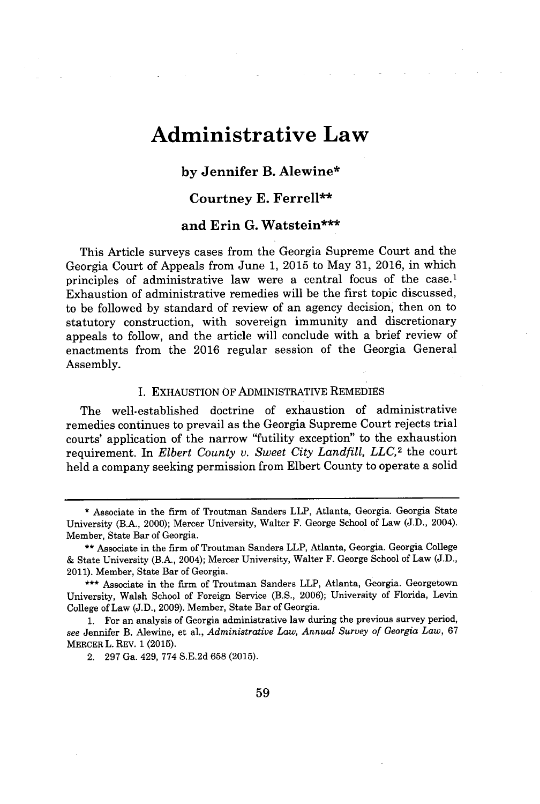# **Administrative Law**

## **by Jennifer B. Alewine\***

### **Courtney E. Ferrell"**

### **and Erin G. Watstein"\***

This Article surveys cases from the Georgia Supreme Court and the Georgia Court of Appeals from June **1, 2015** to May **31, 2016,** in which principles of administrative law were a central focus of the case.<sup>1</sup> Exhaustion of administrative remedies will be the first topic discussed, to be followed **by** standard of review of an agency decision, then on to statutory construction, with sovereign immunity and discretionary appeals to follow, and the article will conclude with a brief review of enactments from the **2016** regular session of the Georgia General Assembly.

#### **I.** EXHAUSTION OF ADMINISTRATIVE REMEDIES

The well-established doctrine of exhaustion of administrative remedies continues to prevail as the Georgia Supreme Court rejects trial courts' application of the narrow "futility exception" to the exhaustion requirement. In *Elbert County v. Sweet City Landfill, LLC*,<sup>2</sup> the court held a company seeking permission from Elbert County to operate a solid

**<sup>\*</sup>** Associate in the firm of Troutman Sanders LLP, Atlanta, Georgia. Georgia State University (B.A., 2000); Mercer University, Walter F. George School of Law **(J.D.,** 2004). Member, State Bar of Georgia.

**<sup>\*\*</sup>** Associate in the firm of Troutman Sanders LLP, Atlanta, Georgia. Georgia College **&** State University (B.A., 2004); Mercer University, Walter F. George School of Law **(J.D.,** 2011). Member, State Bar of Georgia.

**<sup>\*\*\*</sup>** Associate in the firm of Troutman Sanders LLP, Atlanta, Georgia. Georgetown University, Walsh School of Foreign Service (B.S., **2006);** University of Florida, Levin College of Law **(J.D., 2009).** Member, State Bar of Georgia.

**<sup>1.</sup>** For an analysis of Georgia administrative law during the previous survey period, *see* Jennifer B. Alewine, et al., *Administrative Law, Annual Survey of Georgia Law,* **67** MERCER L. REV. **1 (2015).**

<sup>2. 297</sup> Ga. 429, 774 S.E.2d 658 (2015).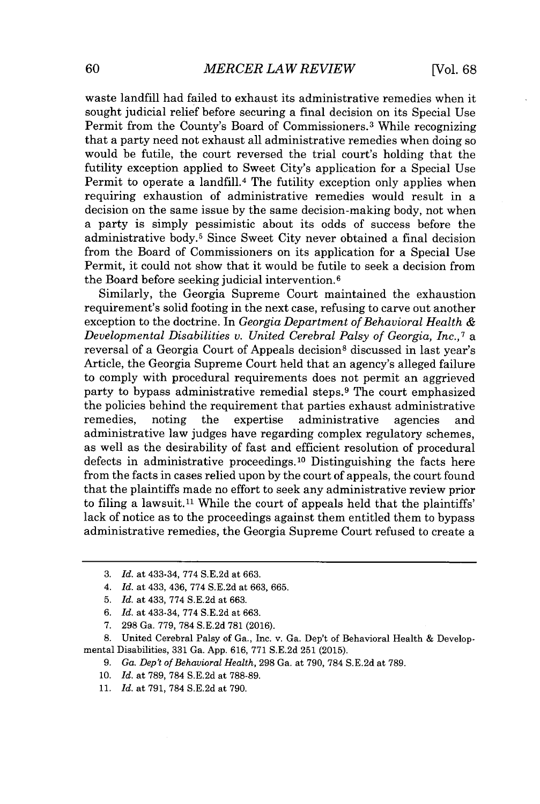waste landfill had failed to exhaust its administrative remedies when it sought judicial relief before securing a final decision on its Special Use Permit from the County's Board of Commissioners.<sup>3</sup>While recognizing that a party need not exhaust all administrative remedies when doing so would be futile, the court reversed the trial court's holding that the futility exception applied to Sweet City's application for a Special Use Permit to operate a landfill.<sup>4</sup> The futility exception only applies when requiring exhaustion of administrative remedies would result in a decision on the same issue **by** the same decision-making body, not when a party is simply pessimistic about its odds of success before the administrative body.<sup>5</sup> Since Sweet City never obtained a final decision from the Board of Commissioners on its application for a Special Use Permit, it could not show that it would be futile to seek a decision from the Board before seeking judicial intervention.<sup>6</sup>

Similarly, the Georgia Supreme Court maintained the exhaustion requirement's solid footing in the next case, refusing to carve out another exception to the doctrine. In *Georgia Department of Behavioral Health Developmental Disabilities v. United Cerebral Palsy of Georgia, Inc.,<sup>7</sup>*a reversal of a Georgia Court of Appeals decision<sup>8</sup> discussed in last year's Article, the Georgia Supreme Court held that an agency's alleged failure to comply with procedural requirements does not permit an aggrieved party to bypass administrative remedial steps.<sup>9</sup> The court emphasized the policies behind the requirement that parties exhaust administrative remedies, noting the expertise administrative agencies and administrative law judges have regarding complex regulatory schemes, as well as the desirability of fast and efficient resolution of procedural defects in administrative proceedings.<sup>10</sup> Distinguishing the facts here from the facts in cases relied upon **by** the court of appeals, the court found that the plaintiffs made no effort to seek any administrative review prior to filing a lawsuit.<sup>11</sup> While the court of appeals held that the plaintiffs' lack of notice as to the proceedings against them entitled them to bypass administrative remedies, the Georgia Supreme Court refused to create a

- *6. Id.* at 433-34, **774 S.E.2d** at **663.**
- **7. 298** Ga. **779, 784 S.E.2d 781 (2016).**

**8.** United Cerebral Palsy **of** Ga., Inc. v. Ga. Dep't of Behavioral Health **&** Developmental Disabilities, **331** Ga. **App. 616, 771 S.E.2d 251 (2015).**

- **9.** *Ga. Dep't of Behavioral Health,* **298** Ga. at **790, 784 S.E.2d** at **789.**
- *10. Id.* at **789, 784 S.E.2d** at **788-89.**
- **11.** *Id.* at **791, 784 S.E.2d** at **790.**

**<sup>3.</sup>** *Id.* at 433-34, **774 S.E.2d** at **663.**

*<sup>4.</sup> Id.* at 433, 436, **774 S.E.2d** at **663, 665.**

**<sup>5.</sup>** *Id.* at 433, **774 S.E.2d** at **663.**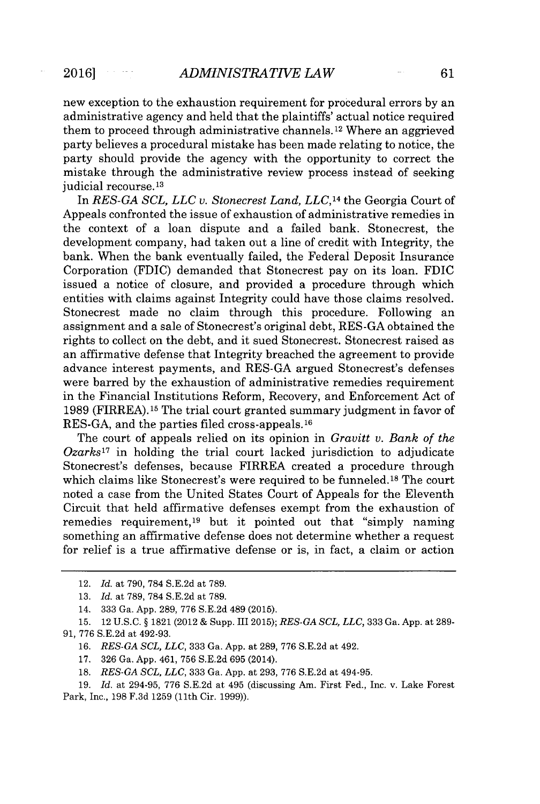new exception to the exhaustion requirement for procedural errors **by** an administrative agency and held that the plaintiffs' actual notice required them to proceed through administrative channels. 12 Where an aggrieved party believes a procedural mistake has been made relating to notice, the party should provide the agency with the opportunity to correct the mistake through the administrative review process instead of seeking judicial recourse.<sup>13</sup>

In *RES-GA SCL, LLC v. Stonecrest Land, LLC,14* the Georgia Court of Appeals confronted the issue of exhaustion of administrative remedies in the context of a loan dispute and a failed bank. Stonecrest, the development company, had taken out a line of credit with Integrity, the bank. When the bank eventually failed, the Federal Deposit Insurance Corporation (FDIC) demanded that Stonecrest pay on its loan. FDIC issued a notice of closure, and provided a procedure through which entities with claims against Integrity could have those claims resolved. Stonecrest made no claim through this procedure. Following an assignment and a sale of Stonecrest's original debt, **RES-GA** obtained the rights to collect on the debt, and it sued Stonecrest. Stonecrest raised as an affirmative defense that Integrity breached the agreement to provide advance interest payments, and **RES-GA** argued Stonecrest's defenses were barred **by** the exhaustion of administrative remedies requirement in the Financial Institutions Reform, Recovery, and Enforcement Act of **1989** (FIRREA).15 The trial court granted summary judgment in favor of **RES-GA,** and the parties filed cross-appeals.16

The court of appeals relied on its opinion in *Gravitt v. Bank of the Ozarks1<sup>7</sup>*in holding the trial court lacked jurisdiction to adjudicate Stonecrest's defenses, because FIRREA created a procedure through which claims like Stonecrest's were required to be funneled.<sup>18</sup> The court noted a case from the United States Court of Appeals for the Eleventh Circuit that held affirmative defenses exempt from the exhaustion of remedies requirement,<sup>19</sup> but it pointed out that "simply naming" something an affirmative defense does not determine whether a request for relief is a true affirmative defense or is, in fact, a claim or action

<sup>12.</sup> *Id.* at **790, 784 S.E.2d** at **789.**

**<sup>13.</sup>** *Id.* at **789, 784 S.E.2d** at **789.**

<sup>14.</sup> **333** Ga. **App. 289, 776 S.E.2d** 489 **(2015).**

**<sup>15.</sup>** 12 **U.S.C.** *§* **1821** (2012 **&** Supp. III **2015);** *RES-GA SCL, LLC,* **333** Ga. **App.** at **289- 91, 776 S.E.2d** at 492-93.

**<sup>16.</sup>** *RES-GA SCL, LLC,* 333 Ga. App. at 289, 776 S.E.2d at 492.

**<sup>17. 326</sup>** Ga. **App.** 461, **756 S.E.2d 695** (2014).

**<sup>18.</sup>** *RES-GA SCL, LLC,* 333 Ga. App. at 293, 776 S.E.2d at 494-95.

**<sup>19.</sup>** *Id.* at 294-95, **776 S.E.2d** at 495 (discussing Am. First Fed., Inc. v. Lake Forest Park, Inc., **198 F.3d 1259** (11th Cir. **1999)).**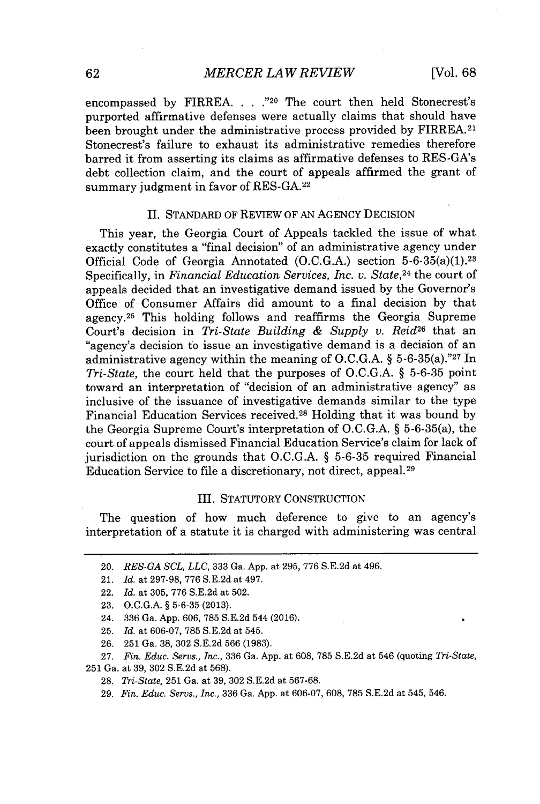encompassed **by** FIRREA. **. .** ."20 The court then held Stonecrest's purported affirmative defenses were actually claims that should have been brought under the administrative process provided **by** FIRREA. <sup>2</sup> 1 Stonecrest's failure to exhaust its administrative remedies therefore barred it from asserting its claims as affirmative defenses to RES-GA's debt collection claim, and the court of appeals affirmed the grant of summary judgment in favor of **RES-GA. <sup>22</sup>**

#### II. **STANDARD** OF REVIEW OF **AN** AGENCY DECISION

This year, the Georgia Court of Appeals tackled the issue of what exactly constitutes a "final decision" of an administrative agency under Official Code of Georgia Annotated **(O.C.G.A.)** section 5-6-35(a)(1).<sup>23</sup> Specifically, in *Financial Education Services, Inc. v. State,<sup>24</sup>*the court of appeals decided that an investigative demand issued **by** the Governor's Office of Consumer Affairs did amount to a final decision **by** that agency.<sup>25</sup> This holding follows and reaffirms the Georgia Supreme Court's decision in *Tri-State Building & Supply v. Reid<sup>26</sup>*that an "agency's decision to issue an investigative demand is a decision of an administrative agency within the meaning of O.C.G.A.  $\S$  5-6-35(a)."27 In *Tri-State,* the court held that the purposes of **O.C.G.A. § 5-6-35** point toward an interpretation of "decision of an administrative agency" as inclusive of the issuance of investigative demands similar to the type Financial Education Services received. <sup>28</sup>Holding that it was bound **by** the Georgia Supreme Court's interpretation of **O.C.G.A. §** 5-6-35(a), the court of appeals dismissed Financial Education Service's claim for lack of jurisdiction on the grounds that **O.C.G.A. § 5-6-35** required Financial Education Service to file a discretionary, not direct, appeal.<sup>29</sup>

#### III. STATUTORY CONSTRUCTION

The question of how much deference to give to an agency's interpretation of a statute it is charged with administering was central

<sup>20.</sup> *RES-GA SCL, LLC,* **333** *Ga.* **App.** at **295, 776 S.E.2d** at 496.

<sup>21.</sup> *Id. at* **297-98, 776 S.E.2d** *at 497.*

<sup>22.</sup> *Id.* at **305, 776 S.E.2d** at **502.**

**<sup>23.</sup> O.C.G.A. § 5-6-35 (2013).**

<sup>24.</sup> **336** *Ga.* **App. 606, 785 S.E.2d** 544 **(2016).**

**<sup>25.</sup>** *Id.* at **606-07, 785 S.E.2d** at 545.

**<sup>26. 251</sup>** *Ga.* **38, 302 S.E.2d 566 (1983).**

**<sup>27.</sup>** *Fin. Educ. Servs., Inc.,* **336** *Ga.* **App.** at **608, 785 S.E.2d** at 546 (quoting *Tri-State,* **251** *Ga.* at **39, 302 S.E.2d** at **568).**

**<sup>28.</sup>** *Ti-State,* **251** *Ga.* at **39, 302 S.E.2d** at **567-68.**

**<sup>29.</sup>** *Fin. Educ. Servs., Inc.,* **336** *Ga.* **App.** at **606-07, 608, 785 S.E.2d** at 545, 546.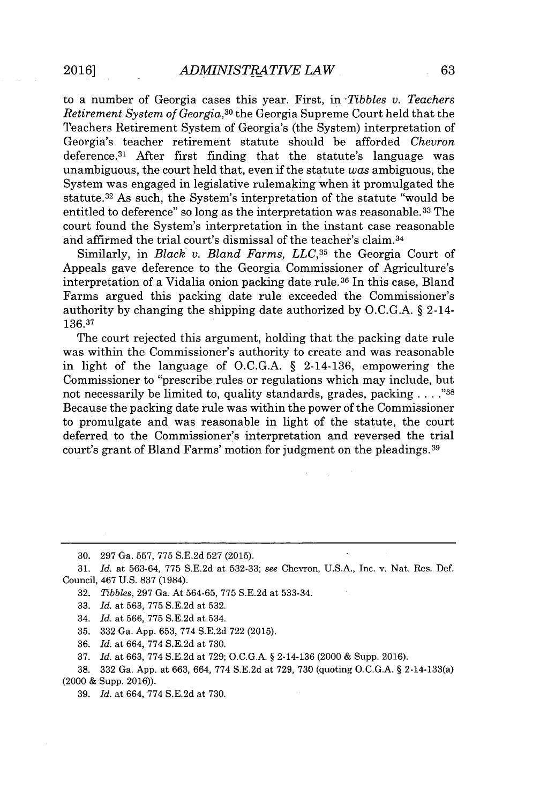to a number of Georgia cases this year. First, in *Tibbles v. Teachers Retirement System of Georgia,<sup>30</sup>*the Georgia Supreme Court held that the Teachers Retirement System of Georgia's (the System) interpretation of Georgia's teacher retirement statute should be afforded *Chevron* deference.<sup>31</sup> After first finding that the statute's language was unambiguous, the court held that, even if the statute *was* ambiguous, the System was engaged in legislative rulemaking when it promulgated the statute. <sup>32</sup>As such, the System's interpretation of the statute "would be entitled to deference" so long as the interpretation was reasonable.<sup>33</sup> The court found the System's interpretation in the instant case reasonable and affirmed the trial court's dismissal of the teacher's claim. <sup>34</sup>

Similarly, in *Black v. Bland Farms, LLC*,<sup>35</sup> the Georgia Court of Appeals gave deference to the Georgia Commissioner of Agriculture's interpretation of a Vidalia onion packing date rule.<sup>36</sup> In this case, Bland Farms argued this packing date rule exceeded the Commissioner's authority **by** changing the shipping date authorized **by O.C.G.A. §** 2-14- **136.37**

The court rejected this argument, holding that the packing date rule was within the Commissioner's authority to create and was reasonable in light of the language of **O.C.G.A. §** 2-14-136, empowering the Commissioner to "prescribe rules or regulations which may include, but not necessarily be limited to, quality standards, grades, packing **. . . ."38** Because the packing date rule was within the power of the Commissioner to promulgate and was reasonable in light of the statute, the court deferred to the Commissioner's interpretation and reversed the trial court's grant of Bland Farms' motion for judgment on the pleadings. <sup>39</sup>

**30. 297** Ga. **557, 775 S.E.2d 527 (2015).**

**31.** *Id.* at **563-64, 775 S.E.2d** at **532-33;** *see* Chevron, **U.S.A.,** Inc. v. Nat. Res. Def. Council, 467 **U.S. 837** (1984).

**32.** *Tibbles,* **297** Ga. At **564-65, 775 S.E.2d** at **533-34.**

**33.** *Id.* at **563, 775 S.E.2d** at **532.**

34. *Id.* at **566, 775 S.E.2d** at 534.

**35. 332** Ga. **App. 653, 774 S.E.2d 722 (2015).**

**36.** *Id.* at 664, **774 S.E.2d** at **730.**

**37.** *Id.* at **663, 774 S.E.2d** at **729; O.C.G.A.** *§* 2-14-136 (2000 **&** Supp. **2016).**

**38. 332** Ga. **App.** at **663,** 664, **774 S.E.2d** at **729, 730** (quoting **O.C.G.A.** *§* 2-14-133(a) (2000 **&** Supp. **2016)).**

**39.** *Id.* at 664, **774 S.E.2d** at **730.**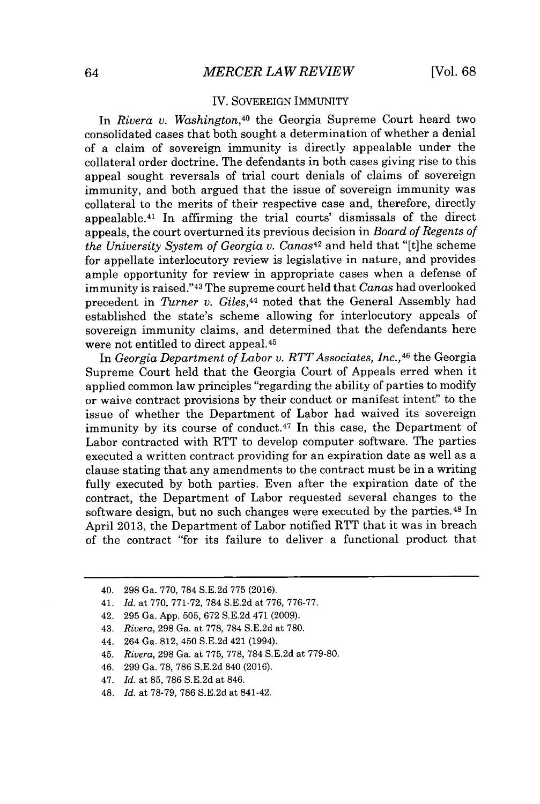### IV. **SOVEREIGN** IMMUNITY

In *Rivera v. Washington,<sup>40</sup>*the Georgia Supreme Court heard two consolidated cases that both sought a determination of whether a denial of a claim of sovereign immunity is directly appealable under the collateral order doctrine. The defendants in both cases giving rise to this appeal sought reversals of trial court denials of claims of sovereign immunity, and both argued that the issue of sovereign immunity was collateral to the merits of their respective case and, therefore, directly appealable.<sup>41</sup> In affirming the trial courts' dismissals of the direct appeals, the court overturned its previous decision in *Board of Regents of the University System of Georgia v. Canas<sup>42</sup>*and held that "[t]he scheme for appellate interlocutory review is legislative in nature, and provides ample opportunity for review in appropriate cases when a defense of immunity is raised."<sup>43</sup>The supreme court held that *Canas* had overlooked precedent in *Turner v. Giles,<sup>44</sup>*noted that the General Assembly had established the state's scheme allowing for interlocutory appeals of sovereign immunity claims, and determined that the defendants here were not entitled to direct appeal. <sup>45</sup>

In *Georgia Department of Labor v. RTT Associates, Inc., <sup>46</sup>*the Georgia Supreme Court held that the Georgia Court of Appeals erred when it applied common law principles "regarding the ability of parties to modify or waive contract provisions **by** their conduct or manifest intent" to the issue of whether the Department of Labor had waived its sovereign immunity by its course of conduct.<sup>47</sup> In this case, the Department of Labor contracted with RTT to develop computer software. The parties executed a written contract providing for an expiration date as well as a clause stating that any amendments to the contract must be in a writing fully executed **by** both parties. Even after the expiration date of the contract, the Department of Labor requested several changes to the software design, but no such changes were executed by the parties.<sup>48</sup> In April **2013,** the Department of Labor notified RTT that it was in breach of the contract "for its failure to deliver a functional product that

- 42. **295** Ga. **App. 505, 672 S.E.2d** 471 **(2009).**
- 43. *Rivera,* **298** Ga. at **778, 784 S.E.2d** at **780.**
- 44. 264 Ga. **812,** 450 **S.E.2d** 421 (1994).
- 45. *Rivera,* **298** Ga. at **775, 778, 784 S.E.2d** at **779-80.**
- 46. **299** Ga. **78, 786 S.E.2d** 840 **(2016).**
- *47. Id.* at **85, 786 S.E.2d** at 846.
- 48. *Id.* at **78-79, 786 S.E.2d** at 841-42.

<sup>40.</sup> **298** Ga. **770, 784 S.E.2d 775 (2016).**

<sup>41.</sup> *Id. at* **770, 771-72, 784 S.E.2d** at **776, 776-77.**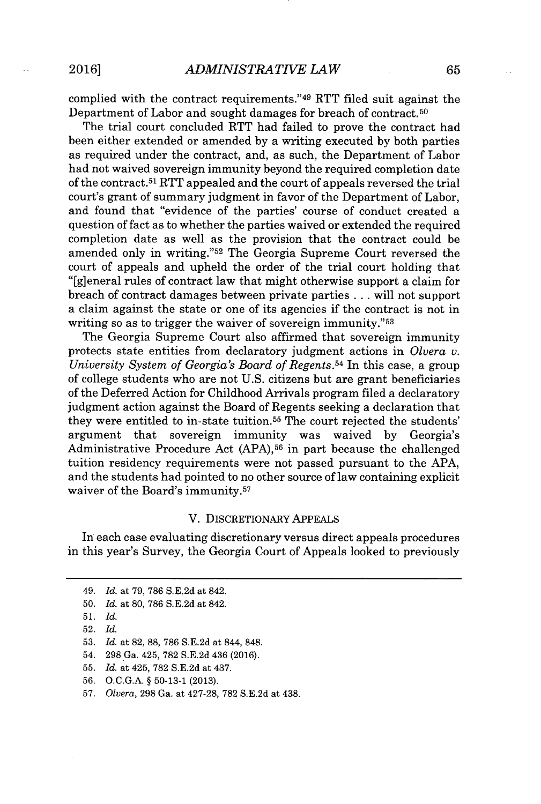complied with the contract requirements." <sup>49</sup>RTT filed suit against the Department of Labor and sought damages for breach of contract. <sup>50</sup>

The trial court concluded RTT had failed to prove the contract had been either extended or amended **by** a writing executed **by** both parties as required under the contract, and, as such, the Department of Labor had not waived sovereign immunity beyond the required completion date of the contract.<sup>51</sup>RTT appealed and the court of appeals reversed the trial court's grant of summary judgment in favor of the Department of Labor, and found that "evidence of the parties' course of conduct created a question of fact as to whether the parties waived or extended the required completion date as well as the provision that the contract could be amended only in writing."<sup>52</sup> The Georgia Supreme Court reversed the court of appeals and upheld the order of the trial court holding that "[g]eneral rules of contract law that might otherwise support a claim for breach of contract damages between private parties **.** . **.** will not support a claim against the state or one of its agencies if the contract is not in writing so as to trigger the waiver of sovereign immunity."<sup>53</sup>

The Georgia Supreme Court also affirmed that sovereign immunity protects state entities from declaratory judgment actions in *Olvera v. University System of Georgia's Board of Regents.<sup>54</sup>*In this case, a group of college students who are not **U.S.** citizens but are grant beneficiaries of the Deferred Action for Childhood Arrivals program filed a declaratory judgment action against the Board of Regents seeking a declaration that they were entitled to in-state tuition.<sup>55</sup> The court rejected the students' argument that sovereign immunity was **.**waived **by** Georgia's Administrative Procedure Act **(APA),56** in part because the challenged tuition residency requirements were not passed pursuant to the **APA,** and the students had pointed to no other source of law containing explicit waiver of the Board's immunity.<sup>57</sup>

#### V. DISCRETIONARY **APPEALS**

In each case evaluating discretionary versus direct appeals procedures in this year's Survey, the Georgia Court of Appeals looked to previously

- **55.** *Id. at* 425, **782 S.E.2d** *at* 437.
- **56. O.C.G.A. § 50-13-1 (2013).**

*<sup>49.</sup> Id. at 79,* **786 S.E.2d** *at* 842.

**<sup>50.</sup>** *Id. at* **80, 786 S.E.2d** *at* 842.

**<sup>51.</sup>** *Id.*

**<sup>52.</sup>** *Id.*

**<sup>53.</sup>** *Id. at* **82, 88, 786 S.E.2d** *at* 844, **848.**

<sup>54.</sup> **298** *Ga.* 425, **782 S.E.2d** 436 **(2016).**

**<sup>57.</sup>** *Olvera,* **298** *Ga. at* **427-28, 782 S.E.2d** *at* 438.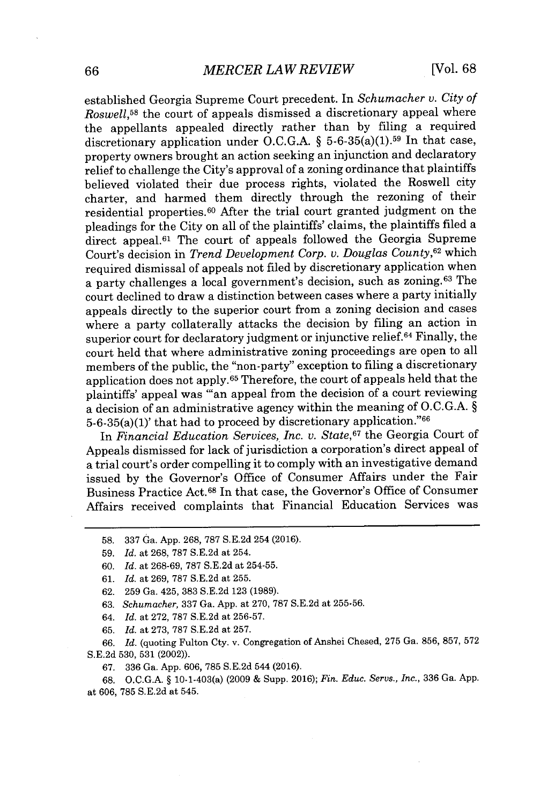established Georgia Supreme Court precedent. In *Schumacher v. City of Roswell*,<sup>58</sup> the court of appeals dismissed a discretionary appeal where the appellants appealed directly rather than **by** filing a required discretionary application under **O.C.G.A. §** 5-6-35(a)(1).<sup>59</sup>In that case, property owners brought an action seeking an injunction and declaratory relief to challenge the City's approval of a zoning ordinance that plaintiffs believed violated their due process rights, violated the Roswell city charter, and harmed them directly through the rezoning of their residential properties.6 0 After the trial court granted judgment on the pleadings for the City on all of the plaintiffs' claims, the plaintiffs filed a direct appeal. $61$  The court of appeals followed the Georgia Supreme Court's decision in *Trend Development Corp. v. Douglas County,<sup>62</sup>*which required dismissal of appeals not filed **by** discretionary application when a party challenges a local government's decision, such as zoning.<sup>63</sup> The court declined to draw a distinction between cases where a party initially appeals directly to the superior court from a zoning decision and cases where a party collaterally attacks the decision **by** filing an action in superior court for declaratory judgment or injunctive relief.<sup>64</sup> Finally, the court held that where administrative zoning proceedings are open to all members of the public, the "non-party" exception to filing a discretionary application does not apply. <sup>6</sup>5 Therefore, the court of appeals held that the plaintiffs' appeal was "an appeal from the decision of a court reviewing a decision of an administrative agency within the meaning of **O.C.G.A. §** 5-6-35(a)(1)' that had to proceed **by** discretionary application."<sup>66</sup>

In *Financial Education Services, Inc. v. State,<sup>67</sup>*the Georgia Court of Appeals dismissed for lack of jurisdiction a corporation's direct appeal of a trial court's order compelling it to comply with an investigative demand issued **by** the Governor's Office of Consumer Affairs under the Fair Business Practice Act.<sup>68</sup>In that case, the Governor's Office of Consumer Affairs received complaints that Financial Education Services was

**65.** *Id.* at **273, 787 S.E.2d** at **257.**

**66.** *Id.* (quoting Fulton Cty. v. Congregation of Anshei Chesed, **275** Ga. **856, 857, 572 S.E.2d 530, 531** (2002)).

**67. 336 Ga. App. 606, 785 S.E.2d 544 (2016).**

**68. O.C.G.A. §** 10-1-403(a) **(2009 &** Supp. **2016);** *Fin. Educ. Servs., Inc.,* **336** Ga. **App.** at **606, 785 S.E.2d** at 545.

**<sup>58. 337</sup>** Ga. **App. 268, 787 S.E.2d** 254 **(2016).**

**<sup>59.</sup>** *Id. at* **268, 787 S.E.2d** at 254.

**<sup>60.</sup>** *Id.* at **268-69, 787 S.E.2d** at **254-55.**

**<sup>61.</sup>** *Id.* at **269, 787 S.E.2d** at **255.**

**<sup>62. 259</sup>** Ga. 425, **383 S.E.2d 123 (1989).**

**<sup>63.</sup>** *Schumacher,* **337** Ga. **App.** at **270, 787 S.E.2d** at **255-56.**

*<sup>64.</sup> Id.* at **272, 787 S.E.2d** at **256-57.**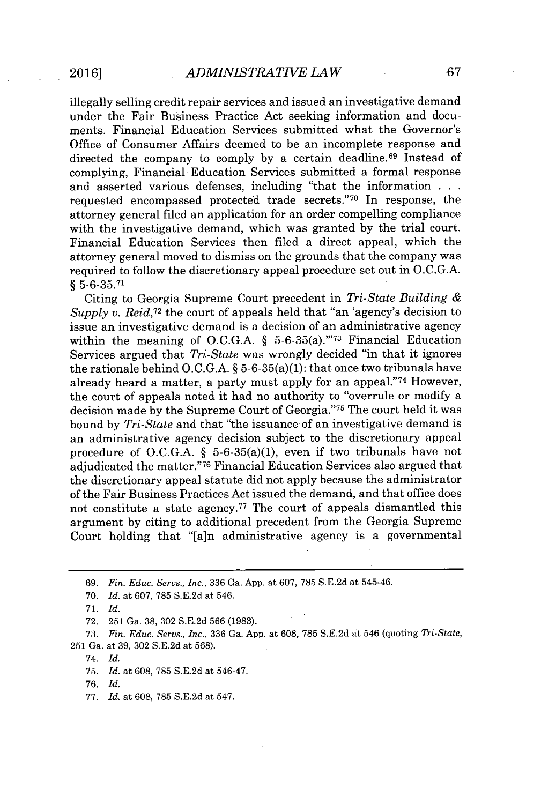illegally selling credit repair services and issued an investigative demand under the Fair Business Practice Act seeking information and documents. Financial Education Services submitted what the Governor's Office of Consumer Affairs deemed to be an incomplete response and directed the company to comply by a certain deadline.<sup>69</sup> Instead of complying, Financial Education Services submitted a formal response and asserted various defenses, including "that the information **. .** requested encompassed protected trade secrets."70 In response, the attorney general filed an application for an order compelling compliance with the investigative demand, which was granted **by** the trial court. Financial Education Services then filed a direct appeal, which the attorney general moved to dismiss on the grounds that the company was required to follow the discretionary appeal procedure set out in **O.C.G.A.** *§* **5-6-35.71**

Citing to Georgia Supreme Court precedent in *Tri-State Building Supply v. Reid*,<sup>72</sup> the court of appeals held that "an 'agency's decision to issue an investigative demand is a decision of an administrative agency within the meaning of O.C.G.A.  $\frac{1}{2}$  5-6-35(a)."<sup>73</sup> Financial Education Services argued that *Tri-State* was wrongly decided "in that it ignores the rationale behind **O.C.G.A. §** 5-6-35(a)(1): that once two tribunals have already heard a matter, a party must apply for an appeal."<sup>74</sup> However, the court of appeals noted it had no authority to "overrule or modify a decision made by the Supreme Court of Georgia."<sup>75</sup> The court held it was bound **by** *Tri-State* and that "the issuance of an investigative demand is an administrative agency decision subject to the discretionary appeal procedure of **O.C.G.A. §** 5-6-35(a)(1), even if two tribunals have not adjudicated the matter."<sup>76</sup> Financial Education Services also argued that the discretionary appeal statute did not apply because the administrator of the Fair Business Practices Act issued the demand, and that office does not constitute a state agency.<sup>77</sup> The court of appeals dismantled this argument **by** citing to additional precedent from the Georgia Supreme Court holding that "[a]n administrative agency is a governmental

- **70.** *Id. at* **607, 785 S.E.2d** at 546.
- **71.** *Id.*
- **72. 251** Ga. **38, 302 S.E.2d 566 (1983).**
- **73.** *Fin. Educ. Servs., Inc.,* **336** Ga. **App.** at **608, 785 S.E.2d** at 546 (quoting *Tri-State,* **251** Ga. at **39, 302 S.E.2d** at **568).**
	- 74. *Id.*
	- **75.** *Id.* at **608, 785 S.E.2d** at 546-47.
	- **76.** *Id.*
	- **77.** *Id.* at **608, 785 S.E.2d** at 547.

*<sup>69.</sup> Fin. Educ. Servs., Inc.,* **336** Ga. **App.** at **607, 785 S.E.2d** at 545-46.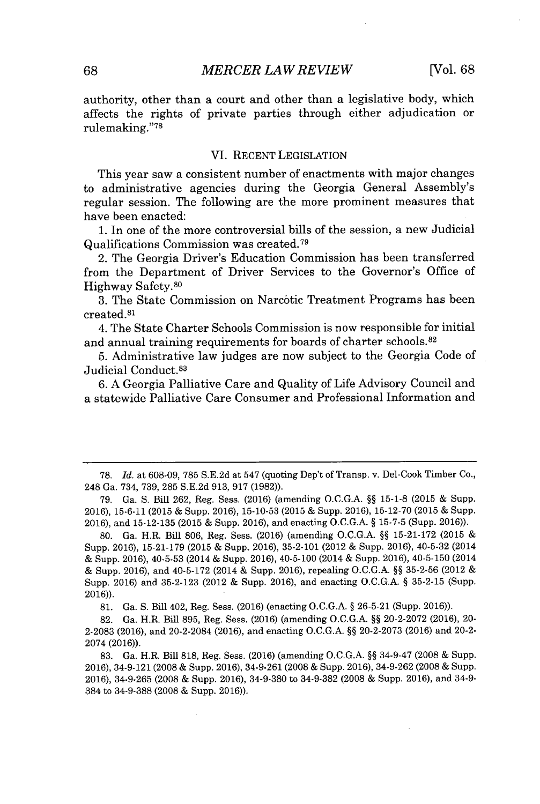authority, other than a court and other than a legislative body, which affects the rights of private parties through either adjudication or rulemaking." <sup>78</sup>

#### VI. **RECENT** LEGISLATION

This year saw a consistent number of enactments with major changes to administrative agencies during the Georgia General Assembly's regular session. The following are the more prominent measures that have been enacted:

**1.** In one of the more controversial bills of the session, a new Judicial Qualifications Commission was created.<sup>79</sup>

2. The Georgia Driver's Education Commission has been transferred from the Department of Driver Services to the Governor's Office of Highway Safety.<sup>80</sup>

**3.** The State Commission on Narcotic Treatment Programs has been created.<sup>81</sup>

4. The State Charter Schools Commission is now responsible for initial and annual training requirements for boards of charter schools. <sup>82</sup>

**5.** Administrative law judges are now subject to the Georgia Code of Judicial Conduct. <sup>83</sup>

**6. A** Georgia Palliative Care and Quality of Life Advisory Council and a statewide Palliative Care Consumer and Professional Information and

**78.** *Id.* at **608-09, 785 S.E.2d** at 547 (quoting Dep't of Transp. v. Del-Cook Timber Co., 248 Ga. 734, **739, 285 S.E.2d 913, 917 (1982)).**

**79.** Ga. **S.** Bill **262,** Reg. Sess. **(2016)** (amending **O.C.G.A. §§ 15-1-8 (2015 &** Supp. **2016), 15-6-11 (2015 &** Supp. **2016), 15-10-53 (2015 &** Supp. **2016), 15-12-70 (2015 &** Supp. **2016),** and **15-12-135 (2015 &** Supp. **2016),** and enacting **O.C.G.A. § 15-7-5** (Supp. **2016)).**

**80.** Ga. H.R. Bill **806,** Reg. Sess. **(2016)** (amending **O.C.G.A. §§ 15-21-172 (2015**  Supp. **2016), 15-21-179 (2015 &** Supp. **2016), 35-2-101** (2012 **&** Supp. **2016),** 40-5-32 (2014 **&** Supp. **2016), 40-5-53** (2014 **&** Supp. **2016),** 40-5-100 (2014 **&** Supp. **2016),** 40-5-150 (2014 **&** Supp. **2016),** and 40-5-172 (2014 **&** Supp. **2016),** repealing **O.C.G.A. §§ 35-2-56** (2012 Supp. **2016)** and **35-2-123** (2012 **&** Supp. **2016),** and enacting **O.C.G.A. § 35-2-15** (Supp. **2016)).**

**81.** Ga. **S.** Bill 402, Reg. Sess. **(2016)** (enacting **O.C.G.A. § 26-5-21** (Supp. **2016)).**

**82.** Ga. H.R. Bill **895,** Reg. Sess. **(2016)** (amending **O.C.G.A. §§ 20-2-2072 (2016),** 20- **2-2083 (2016),** and 20-2-2084 **(2016),** and enacting **O.C.G.A. §§ 20-2-2073 (2016)** and 20-2- 2074 **(2016)).**

**83.** Ga. H.R. Bill **818,** Reg. Sess. **(2016)** (amending **O.C.G.A. §§** 34-9-47 **(2008 &** Supp. **2016),** 34-9-121 **(2008 &** Supp. **2016),** 34-9-261 **(2008 &** Supp. **2016),** 34-9-262 **(2008 &** Supp. **2016), 34-9-265 (2008 &** Supp. **2016), 34-9-380** to **34-9-382 (2008 &** Supp. **2016),** and 34-9- 384 to **34-9-388 (2008 &** Supp. **2016)).**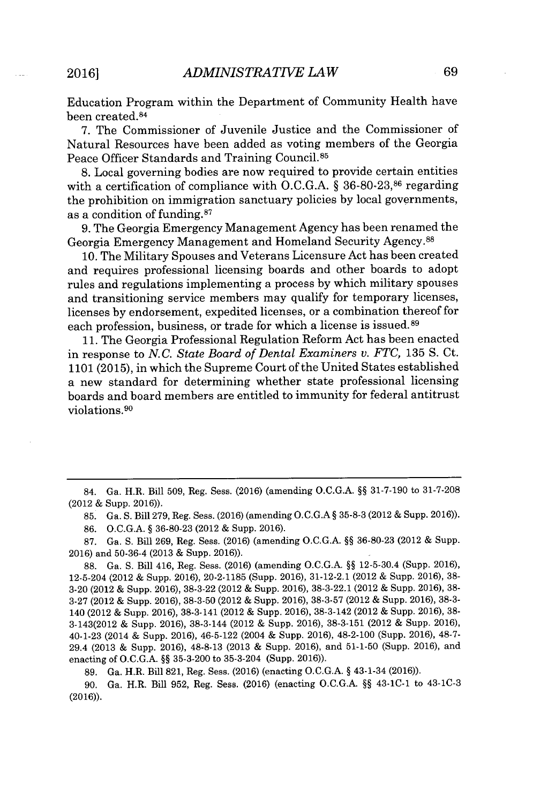Education Program within the Department of Community Health have been created.<sup>84</sup>

**7.** The Commissioner of Juvenile Justice and the Commissioner of Natural Resources have been added as voting members of the Georgia Peace Officer Standards and Training Council.<sup>85</sup>

**8.** Local governing bodies are now required to provide certain entities with a certification of compliance with **O.C.G.A.** *§* **36-80-23,86** regarding the prohibition on immigration sanctuary policies **by** local governments, as a condition of funding.87

**9.** The Georgia Emergency Management Agency has been renamed the Georgia Emergency Management and Homeland Security Agency.<sup>88</sup>

**10.** The Military Spouses and Veterans Licensure Act has been created and requires professional licensing boards and other boards to adopt rules and regulations implementing a process **by** which military spouses and transitioning service members may qualify for temporary licenses, licenses **by** endorsement, expedited licenses, or a combination thereof for each profession, business, or trade for which a license is issued.<sup>89</sup>

**11.** The Georgia Professional Regulation Reform Act has been enacted in response to *N.C. State Board of Dental Examiners v. FTC, 135* **S.** Ct. **1101 (2015),** in which the Supreme Court of the United States established a new standard for determining whether state professional licensing boards and board members are entitled to immunity for federal antitrust violations. <sup>90</sup>

84. Ga. H.R. Bill **509,** Reg. Sess. **(2016)** (amending **O.C.G.A. §§ 31-7-190** to **31-7-208** (2012 **&** Supp. **2016)).**

**85.** Ga. **S.** Bill **279,** Reg. Sess. **(2016)** (amending **O.C.G.A § 35-8-3** (2012 **&** Supp. **2016)).**

**86. O.C.G.A. § 36-80-23** (2012 **&** Supp. **2016).**

**87.** Ga. **S.** Bill **269,** Reg. Sess. **(2016)** (amending **O.C.G.A. §§ 36-80-23** (2012 **&** Supp. **2016)** and **50-36-4 (2013 &** Supp. **2016)).**

**88.** Ga. **S.** Bill 416, Reg. Sess. **(2016)** (amending **O.C.G.A. §§** 12-5-30.4 (Supp. **2016),** 12-5-204 (2012 **&** Supp. **2016), 20-2-1185** (Supp. **2016), 31-12-2.1** (2012 **&** Supp. **2016), 38- 3-20** (2012 **&** Supp. **2016), 38-3-22** (2012 **&** Supp. **2016), 38-3-22.1** (2012 **&** Supp. **2016), 38- 3-27** (2012 **&** Supp. **2016), 38-3-50** (2012 **&** Supp. **2016), 38-3-57** (2012 **&** Supp. **2016), 38-3-** 140 (2012 **&** Supp. **2016), 38-3-141** (2012 **&** Supp. **2016), 38-3-142** (2012 **&** Supp. **2016), 38-** 3-143(2012 **&** Supp. **2016),** 38-3-144 (2012 **&** Supp. **2016), 38-3-151** (2012 **&** Supp. **2016),** 40-1-23 (2014 **&** Supp. **2016),** 46-5-122 (2004 **&** Supp. **2016),** 48-2-100 (Supp. **2016), 48-7-** 29.4 **(2013 &** Supp. **2016), 48-8-13 (2013 &** Supp. **2016),** and **51-1-50** (Supp. **2016),** and enacting of **O.C.G.A. §§ 35-3-200** to 35-3-204 (Supp. **2016)).**

**89.** Ga. H.R. Bill **821,** Reg. Sess. **(2016)** (enacting **O.C.G.A. §** 43-1-34 **(2016)).**

**90.** Ga. H.R. Bill **952,** Reg. Sess. **(2016)** (enacting **O.C.G.A. §§** 43-1C-1 to 43-1C-3 **(2016)).**